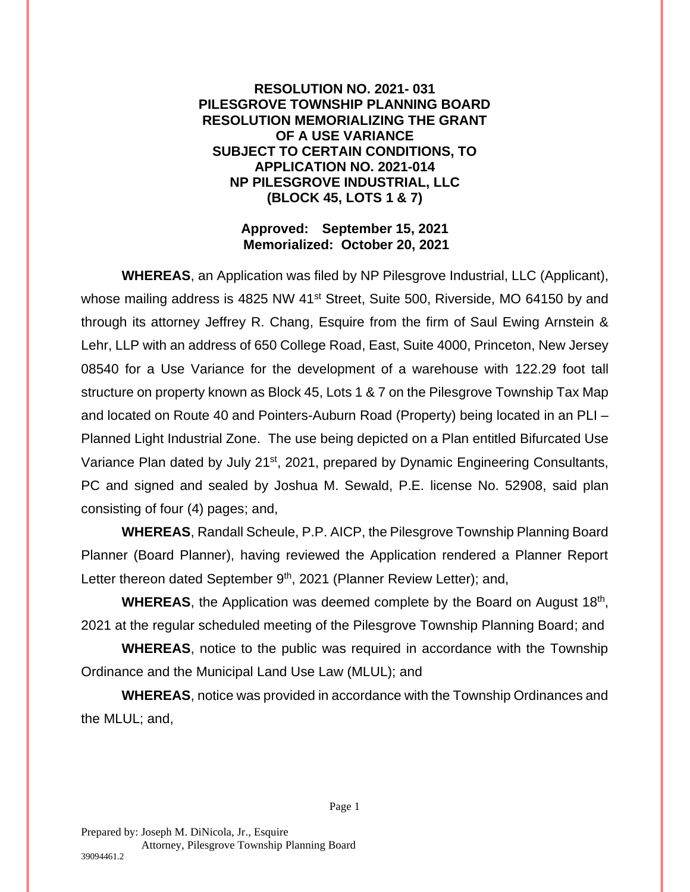**RESOLUTION NO. 2021- 031 PILESGROVE TOWNSHIP PLANNING BOARD RESOLUTION MEMORIALIZING THE GRANT OF A USE VARIANCE SUBJECT TO CERTAIN CONDITIONS, TO APPLICATION NO. 2021-014 NP PILESGROVE INDUSTRIAL, LLC (BLOCK 45, LOTS 1 & 7)** 

## **Approved: September 15, 2021 Memorialized: October 20, 2021**

**WHEREAS**, an Application was filed by NP Pilesgrove Industrial, LLC (Applicant), whose mailing address is 4825 NW 41<sup>st</sup> Street, Suite 500, Riverside, MO 64150 by and through its attorney Jeffrey R. Chang, Esquire from the firm of Saul Ewing Arnstein & Lehr, LLP with an address of 650 College Road, East, Suite 4000, Princeton, New Jersey 08540 for a Use Variance for the development of a warehouse with 122.29 foot tall structure on property known as Block 45, Lots 1 & 7 on the Pilesgrove Township Tax Map and located on Route 40 and Pointers-Auburn Road (Property) being located in an PLI – Planned Light Industrial Zone. The use being depicted on a Plan entitled Bifurcated Use Variance Plan dated by July 21<sup>st</sup>, 2021, prepared by Dynamic Engineering Consultants, PC and signed and sealed by Joshua M. Sewald, P.E. license No. 52908, said plan consisting of four (4) pages; and,

**WHEREAS**, Randall Scheule, P.P. AICP, the Pilesgrove Township Planning Board Planner (Board Planner), having reviewed the Application rendered a Planner Report Letter thereon dated September 9<sup>th</sup>, 2021 (Planner Review Letter); and,

WHEREAS, the Application was deemed complete by the Board on August 18<sup>th</sup>, 2021 at the regular scheduled meeting of the Pilesgrove Township Planning Board; and

**WHEREAS**, notice to the public was required in accordance with the Township Ordinance and the Municipal Land Use Law (MLUL); and

**WHEREAS**, notice was provided in accordance with the Township Ordinances and the MLUL; and,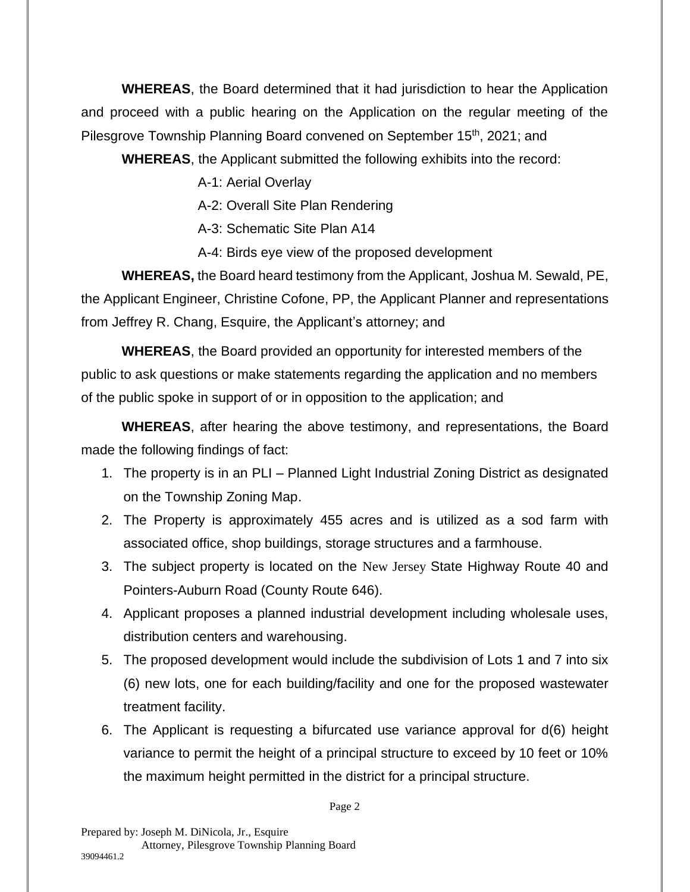**WHEREAS**, the Board determined that it had jurisdiction to hear the Application and proceed with a public hearing on the Application on the regular meeting of the Pilesgrove Township Planning Board convened on September 15<sup>th</sup>, 2021; and

**WHEREAS**, the Applicant submitted the following exhibits into the record:

A-1: Aerial Overlay

A-2: Overall Site Plan Rendering

A-3: Schematic Site Plan A14

A-4: Birds eye view of the proposed development

**WHEREAS,** the Board heard testimony from the Applicant, Joshua M. Sewald, PE, the Applicant Engineer, Christine Cofone, PP, the Applicant Planner and representations from Jeffrey R. Chang, Esquire, the Applicant's attorney; and

**WHEREAS**, the Board provided an opportunity for interested members of the public to ask questions or make statements regarding the application and no members of the public spoke in support of or in opposition to the application; and

**WHEREAS**, after hearing the above testimony, and representations, the Board made the following findings of fact:

- 1. The property is in an PLI Planned Light Industrial Zoning District as designated on the Township Zoning Map.
- 2. The Property is approximately 455 acres and is utilized as a sod farm with associated office, shop buildings, storage structures and a farmhouse.
- 3. The subject property is located on the New Jersey State Highway Route 40 and Pointers-Auburn Road (County Route 646).
- 4. Applicant proposes a planned industrial development including wholesale uses, distribution centers and warehousing.
- 5. The proposed development would include the subdivision of Lots 1 and 7 into six (6) new lots, one for each building/facility and one for the proposed wastewater treatment facility.
- 6. The Applicant is requesting a bifurcated use variance approval for d(6) height variance to permit the height of a principal structure to exceed by 10 feet or 10% the maximum height permitted in the district for a principal structure.

Page 2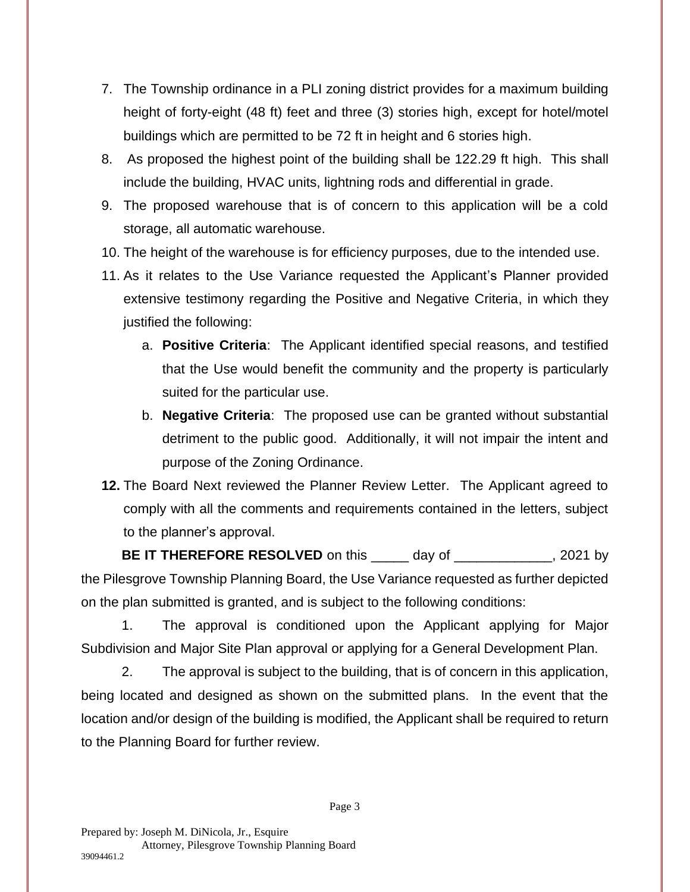- 7. The Township ordinance in a PLI zoning district provides for a maximum building height of forty-eight (48 ft) feet and three (3) stories high, except for hotel/motel buildings which are permitted to be 72 ft in height and 6 stories high.
- 8. As proposed the highest point of the building shall be 122.29 ft high. This shall include the building, HVAC units, lightning rods and differential in grade.
- 9. The proposed warehouse that is of concern to this application will be a cold storage, all automatic warehouse.
- 10. The height of the warehouse is for efficiency purposes, due to the intended use.
- 11. As it relates to the Use Variance requested the Applicant's Planner provided extensive testimony regarding the Positive and Negative Criteria, in which they justified the following:
	- a. **Positive Criteria**: The Applicant identified special reasons, and testified that the Use would benefit the community and the property is particularly suited for the particular use.
	- b. **Negative Criteria**: The proposed use can be granted without substantial detriment to the public good. Additionally, it will not impair the intent and purpose of the Zoning Ordinance.
- **12.** The Board Next reviewed the Planner Review Letter. The Applicant agreed to comply with all the comments and requirements contained in the letters, subject to the planner's approval.

**BE IT THEREFORE RESOLVED** on this \_\_\_\_\_\_ day of \_\_\_\_\_\_\_\_\_\_\_\_\_\_, 2021 by the Pilesgrove Township Planning Board, the Use Variance requested as further depicted on the plan submitted is granted, and is subject to the following conditions:

1. The approval is conditioned upon the Applicant applying for Major Subdivision and Major Site Plan approval or applying for a General Development Plan.

2. The approval is subject to the building, that is of concern in this application, being located and designed as shown on the submitted plans. In the event that the location and/or design of the building is modified, the Applicant shall be required to return to the Planning Board for further review.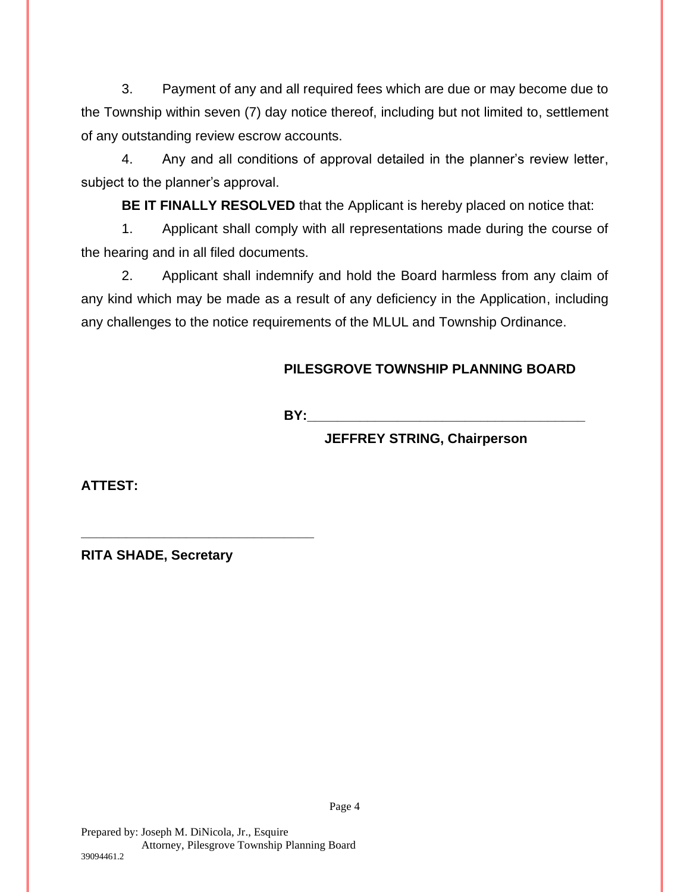3. Payment of any and all required fees which are due or may become due to the Township within seven (7) day notice thereof, including but not limited to, settlement of any outstanding review escrow accounts.

4. Any and all conditions of approval detailed in the planner's review letter, subject to the planner's approval.

**BE IT FINALLY RESOLVED** that the Applicant is hereby placed on notice that:

1. Applicant shall comply with all representations made during the course of the hearing and in all filed documents.

2. Applicant shall indemnify and hold the Board harmless from any claim of any kind which may be made as a result of any deficiency in the Application, including any challenges to the notice requirements of the MLUL and Township Ordinance.

Page 4

## **PILESGROVE TOWNSHIP PLANNING BOARD**

**BY:\_\_\_\_\_\_\_\_\_\_\_\_\_\_\_\_\_\_\_\_\_\_\_\_\_\_\_\_\_\_\_\_\_\_\_\_\_**

**JEFFREY STRING, Chairperson**

**ATTEST:**

**RITA SHADE, Secretary**

**\_\_\_\_\_\_\_\_\_\_\_\_\_\_\_\_\_\_\_\_\_\_\_\_\_\_\_\_\_\_\_**